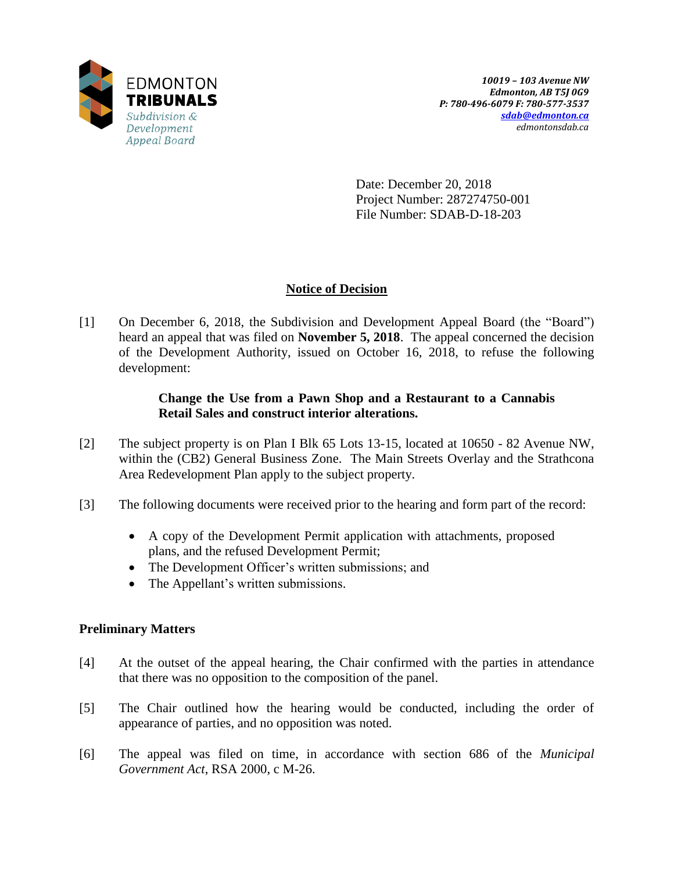

Date: December 20, 2018 Project Number: 287274750-001 File Number: SDAB-D-18-203

# **Notice of Decision**

[1] On December 6, 2018, the Subdivision and Development Appeal Board (the "Board") heard an appeal that was filed on **November 5, 2018**. The appeal concerned the decision of the Development Authority, issued on October 16, 2018, to refuse the following development:

## **Change the Use from a Pawn Shop and a Restaurant to a Cannabis Retail Sales and construct interior alterations.**

- [2] The subject property is on Plan I Blk 65 Lots 13-15, located at 10650 82 Avenue NW, within the (CB2) General Business Zone. The Main Streets Overlay and the Strathcona Area Redevelopment Plan apply to the subject property.
- [3] The following documents were received prior to the hearing and form part of the record:
	- A copy of the Development Permit application with attachments, proposed plans, and the refused Development Permit;
	- The Development Officer's written submissions; and
	- The Appellant's written submissions.

# **Preliminary Matters**

- [4] At the outset of the appeal hearing, the Chair confirmed with the parties in attendance that there was no opposition to the composition of the panel.
- [5] The Chair outlined how the hearing would be conducted, including the order of appearance of parties, and no opposition was noted.
- [6] The appeal was filed on time, in accordance with section 686 of the *Municipal Government Act*, RSA 2000, c M-26.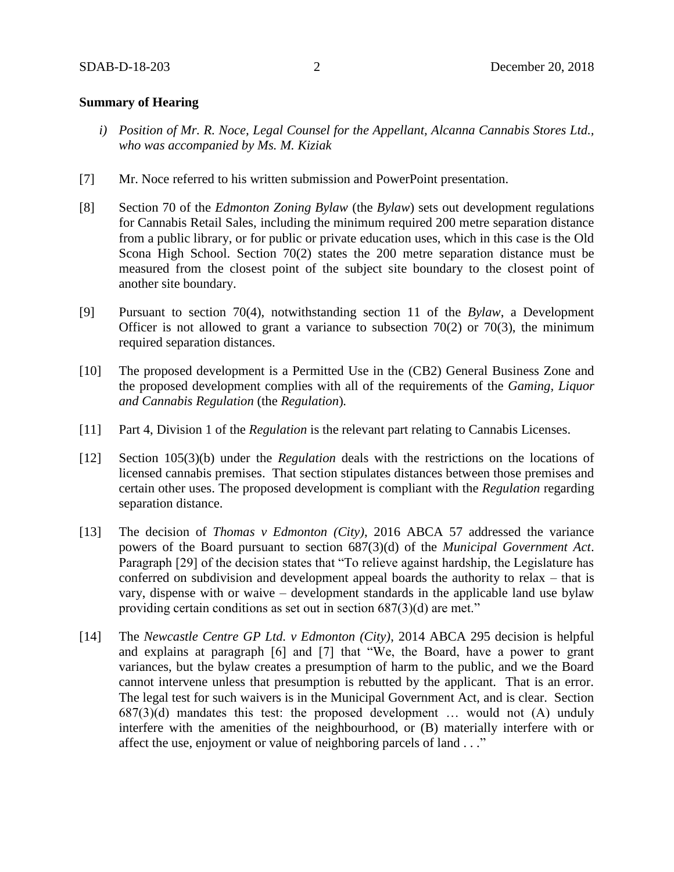#### **Summary of Hearing**

- *i) Position of Mr. R. Noce, Legal Counsel for the Appellant, Alcanna Cannabis Stores Ltd., who was accompanied by Ms. M. Kiziak*
- [7] Mr. Noce referred to his written submission and PowerPoint presentation.
- [8] Section 70 of the *Edmonton Zoning Bylaw* (the *Bylaw*) sets out development regulations for Cannabis Retail Sales, including the minimum required 200 metre separation distance from a public library, or for public or private education uses, which in this case is the Old Scona High School. Section 70(2) states the 200 metre separation distance must be measured from the closest point of the subject site boundary to the closest point of another site boundary.
- [9] Pursuant to section 70(4), notwithstanding section 11 of the *Bylaw*, a Development Officer is not allowed to grant a variance to subsection  $70(2)$  or  $70(3)$ , the minimum required separation distances.
- [10] The proposed development is a Permitted Use in the (CB2) General Business Zone and the proposed development complies with all of the requirements of the *Gaming, Liquor and Cannabis Regulation* (the *Regulation*)*.*
- [11] Part 4, Division 1 of the *Regulation* is the relevant part relating to Cannabis Licenses.
- [12] Section 105(3)(b) under the *Regulation* deals with the restrictions on the locations of licensed cannabis premises. That section stipulates distances between those premises and certain other uses. The proposed development is compliant with the *Regulation* regarding separation distance.
- [13] The decision of *Thomas v Edmonton (City)*, 2016 ABCA 57 addressed the variance powers of the Board pursuant to section 687(3)(d) of the *Municipal Government Act*. Paragraph [29] of the decision states that "To relieve against hardship, the Legislature has conferred on subdivision and development appeal boards the authority to relax – that is vary, dispense with or waive – development standards in the applicable land use bylaw providing certain conditions as set out in section 687(3)(d) are met."
- [14] The *Newcastle Centre GP Ltd. v Edmonton (City)*, 2014 ABCA 295 decision is helpful and explains at paragraph [6] and [7] that "We, the Board, have a power to grant variances, but the bylaw creates a presumption of harm to the public, and we the Board cannot intervene unless that presumption is rebutted by the applicant. That is an error. The legal test for such waivers is in the Municipal Government Act, and is clear. Section  $687(3)(d)$  mandates this test: the proposed development ... would not  $(A)$  unduly interfere with the amenities of the neighbourhood, or (B) materially interfere with or affect the use, enjoyment or value of neighboring parcels of land . . ."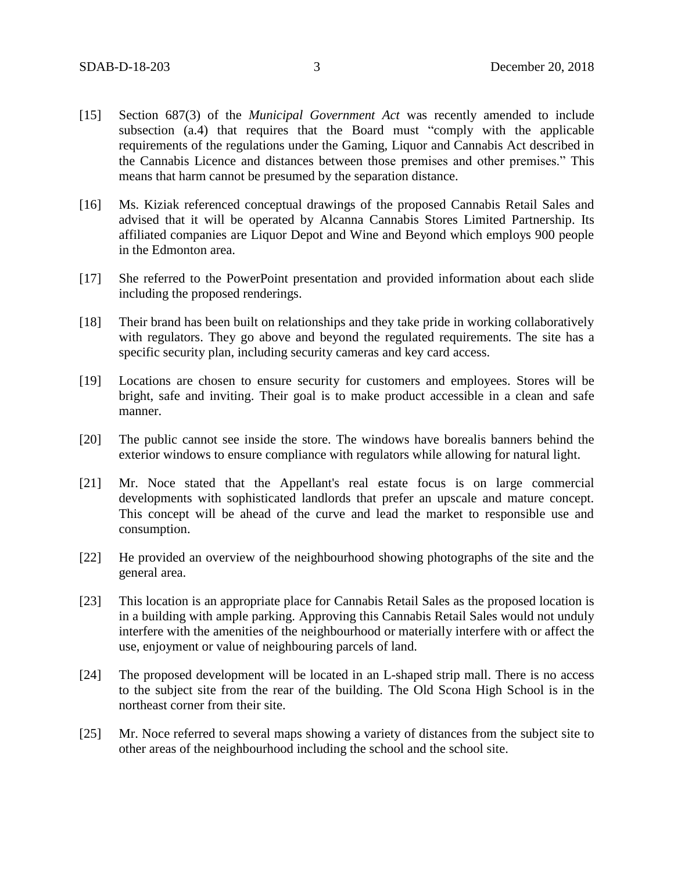- [15] Section 687(3) of the *Municipal Government Act* was recently amended to include subsection (a.4) that requires that the Board must "comply with the applicable requirements of the regulations under the Gaming, Liquor and Cannabis Act described in the Cannabis Licence and distances between those premises and other premises." This means that harm cannot be presumed by the separation distance.
- [16] Ms. Kiziak referenced conceptual drawings of the proposed Cannabis Retail Sales and advised that it will be operated by Alcanna Cannabis Stores Limited Partnership. Its affiliated companies are Liquor Depot and Wine and Beyond which employs 900 people in the Edmonton area.
- [17] She referred to the PowerPoint presentation and provided information about each slide including the proposed renderings.
- [18] Their brand has been built on relationships and they take pride in working collaboratively with regulators. They go above and beyond the regulated requirements. The site has a specific security plan, including security cameras and key card access.
- [19] Locations are chosen to ensure security for customers and employees. Stores will be bright, safe and inviting. Their goal is to make product accessible in a clean and safe manner.
- [20] The public cannot see inside the store. The windows have borealis banners behind the exterior windows to ensure compliance with regulators while allowing for natural light.
- [21] Mr. Noce stated that the Appellant's real estate focus is on large commercial developments with sophisticated landlords that prefer an upscale and mature concept. This concept will be ahead of the curve and lead the market to responsible use and consumption.
- [22] He provided an overview of the neighbourhood showing photographs of the site and the general area.
- [23] This location is an appropriate place for Cannabis Retail Sales as the proposed location is in a building with ample parking. Approving this Cannabis Retail Sales would not unduly interfere with the amenities of the neighbourhood or materially interfere with or affect the use, enjoyment or value of neighbouring parcels of land.
- [24] The proposed development will be located in an L-shaped strip mall. There is no access to the subject site from the rear of the building. The Old Scona High School is in the northeast corner from their site.
- [25] Mr. Noce referred to several maps showing a variety of distances from the subject site to other areas of the neighbourhood including the school and the school site.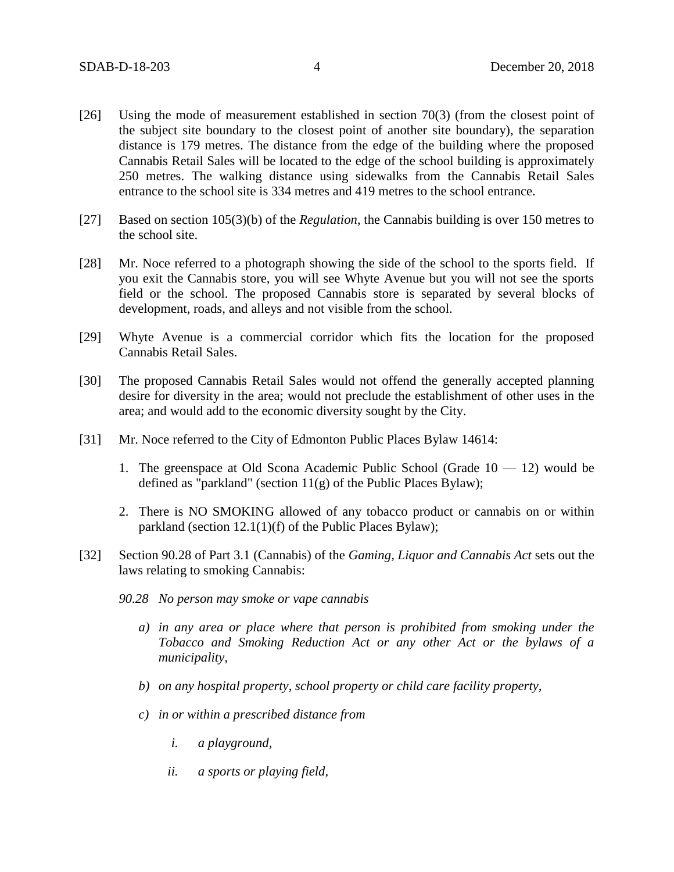- [26] Using the mode of measurement established in section 70(3) (from the closest point of the subject site boundary to the closest point of another site boundary), the separation distance is 179 metres. The distance from the edge of the building where the proposed Cannabis Retail Sales will be located to the edge of the school building is approximately 250 metres. The walking distance using sidewalks from the Cannabis Retail Sales entrance to the school site is 334 metres and 419 metres to the school entrance.
- [27] Based on section 105(3)(b) of the *Regulation*, the Cannabis building is over 150 metres to the school site.
- [28] Mr. Noce referred to a photograph showing the side of the school to the sports field. If you exit the Cannabis store, you will see Whyte Avenue but you will not see the sports field or the school. The proposed Cannabis store is separated by several blocks of development, roads, and alleys and not visible from the school.
- [29] Whyte Avenue is a commercial corridor which fits the location for the proposed Cannabis Retail Sales.
- [30] The proposed Cannabis Retail Sales would not offend the generally accepted planning desire for diversity in the area; would not preclude the establishment of other uses in the area; and would add to the economic diversity sought by the City.
- [31] Mr. Noce referred to the City of Edmonton Public Places Bylaw 14614:
	- 1. The greenspace at Old Scona Academic Public School (Grade 10 12) would be defined as "parkland" (section  $11(g)$  of the Public Places Bylaw);
	- 2. There is NO SMOKING allowed of any tobacco product or cannabis on or within parkland (section 12.1(1)(f) of the Public Places Bylaw);
- [32] Section 90.28 of Part 3.1 (Cannabis) of the *Gaming, Liquor and Cannabis Act* sets out the laws relating to smoking Cannabis:
	- *90.28 No person may smoke or vape cannabis*
		- *a) in any area or place where that person is prohibited from smoking under the Tobacco and Smoking Reduction Act or any other Act or the bylaws of a municipality,*
		- *b) on any hospital property, school property or child care facility property,*
		- *c) in or within a prescribed distance from*
			- *i. a playground,*
			- *ii. a sports or playing field,*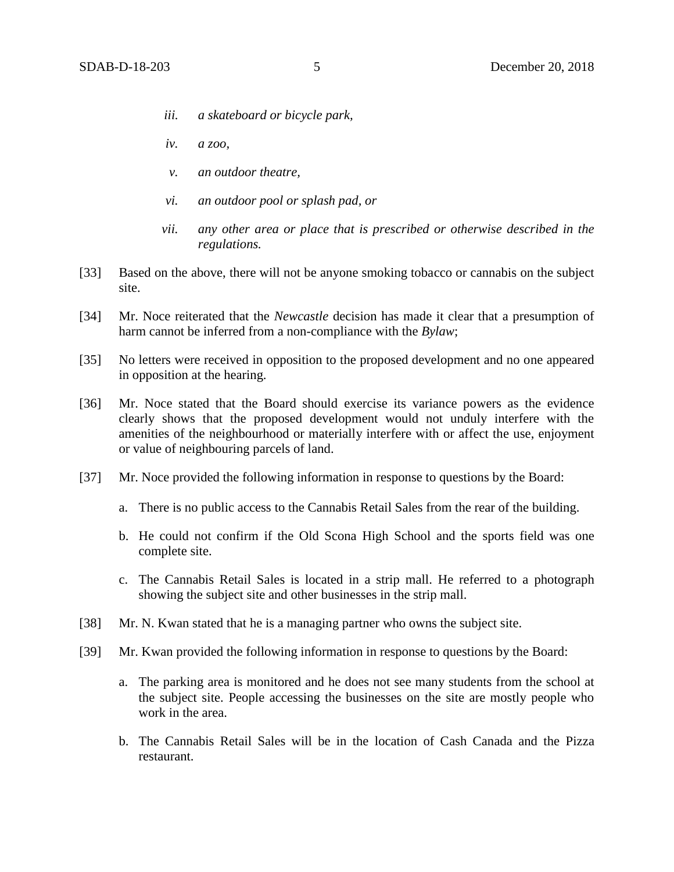- *iii. a skateboard or bicycle park,*
- *iv. a zoo,*
- *v. an outdoor theatre,*
- *vi. an outdoor pool or splash pad, or*
- *vii. any other area or place that is prescribed or otherwise described in the regulations.*
- [33] Based on the above, there will not be anyone smoking tobacco or cannabis on the subject site.
- [34] Mr. Noce reiterated that the *Newcastle* decision has made it clear that a presumption of harm cannot be inferred from a non-compliance with the *Bylaw*;
- [35] No letters were received in opposition to the proposed development and no one appeared in opposition at the hearing.
- [36] Mr. Noce stated that the Board should exercise its variance powers as the evidence clearly shows that the proposed development would not unduly interfere with the amenities of the neighbourhood or materially interfere with or affect the use, enjoyment or value of neighbouring parcels of land.
- [37] Mr. Noce provided the following information in response to questions by the Board:
	- a. There is no public access to the Cannabis Retail Sales from the rear of the building.
	- b. He could not confirm if the Old Scona High School and the sports field was one complete site.
	- c. The Cannabis Retail Sales is located in a strip mall. He referred to a photograph showing the subject site and other businesses in the strip mall.
- [38] Mr. N. Kwan stated that he is a managing partner who owns the subject site.
- [39] Mr. Kwan provided the following information in response to questions by the Board:
	- a. The parking area is monitored and he does not see many students from the school at the subject site. People accessing the businesses on the site are mostly people who work in the area.
	- b. The Cannabis Retail Sales will be in the location of Cash Canada and the Pizza restaurant.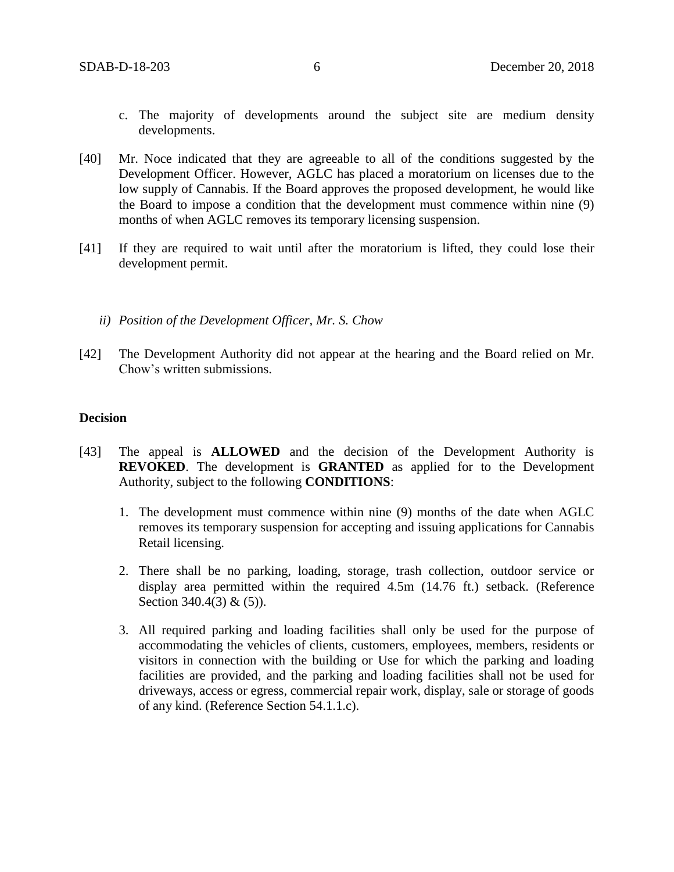- c. The majority of developments around the subject site are medium density developments.
- [40] Mr. Noce indicated that they are agreeable to all of the conditions suggested by the Development Officer. However, AGLC has placed a moratorium on licenses due to the low supply of Cannabis. If the Board approves the proposed development, he would like the Board to impose a condition that the development must commence within nine (9) months of when AGLC removes its temporary licensing suspension.
- [41] If they are required to wait until after the moratorium is lifted, they could lose their development permit.
	- *ii) Position of the Development Officer, Mr. S. Chow*
- [42] The Development Authority did not appear at the hearing and the Board relied on Mr. Chow's written submissions.

### **Decision**

- [43] The appeal is **ALLOWED** and the decision of the Development Authority is **REVOKED**. The development is **GRANTED** as applied for to the Development Authority, subject to the following **CONDITIONS**:
	- 1. The development must commence within nine (9) months of the date when AGLC removes its temporary suspension for accepting and issuing applications for Cannabis Retail licensing.
	- 2. There shall be no parking, loading, storage, trash collection, outdoor service or display area permitted within the required 4.5m (14.76 ft.) setback. (Reference Section 340.4(3) & (5)).
	- 3. All required parking and loading facilities shall only be used for the purpose of accommodating the vehicles of clients, customers, employees, members, residents or visitors in connection with the building or Use for which the parking and loading facilities are provided, and the parking and loading facilities shall not be used for driveways, access or egress, commercial repair work, display, sale or storage of goods of any kind. (Reference Section 54.1.1.c).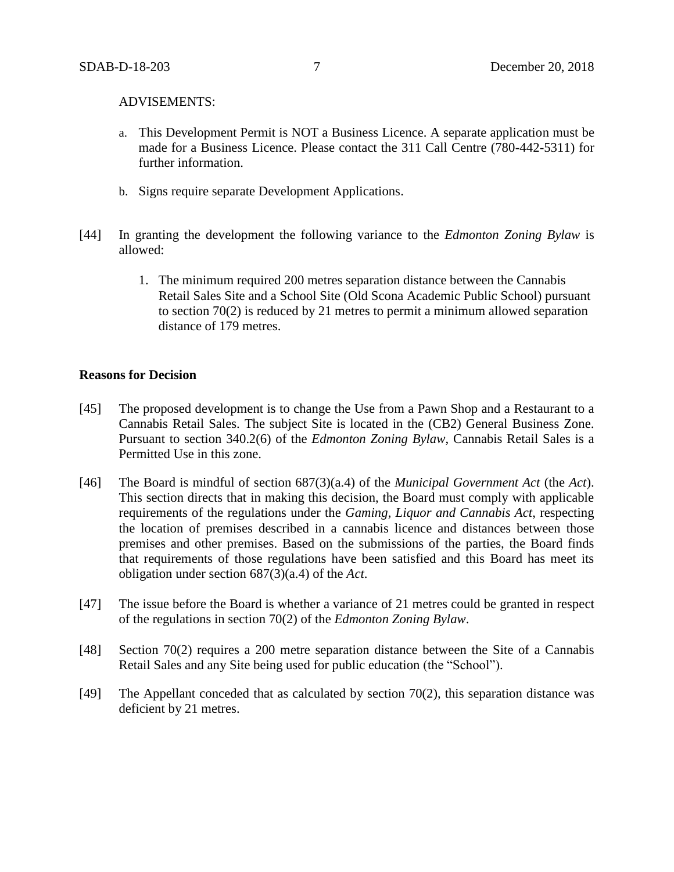#### ADVISEMENTS:

- a. This Development Permit is NOT a Business Licence. A separate application must be made for a Business Licence. Please contact the 311 Call Centre (780-442-5311) for further information.
- b. Signs require separate Development Applications.
- [44] In granting the development the following variance to the *Edmonton Zoning Bylaw* is allowed:
	- 1. The minimum required 200 metres separation distance between the Cannabis Retail Sales Site and a School Site (Old Scona Academic Public School) pursuant to section 70(2) is reduced by 21 metres to permit a minimum allowed separation distance of 179 metres.

### **Reasons for Decision**

- [45] The proposed development is to change the Use from a Pawn Shop and a Restaurant to a Cannabis Retail Sales. The subject Site is located in the (CB2) General Business Zone. Pursuant to section 340.2(6) of the *Edmonton Zoning Bylaw*, Cannabis Retail Sales is a Permitted Use in this zone.
- [46] The Board is mindful of section 687(3)(a.4) of the *Municipal Government Act* (the *Act*). This section directs that in making this decision, the Board must comply with applicable requirements of the regulations under the *Gaming, Liquor and Cannabis Act*, respecting the location of premises described in a cannabis licence and distances between those premises and other premises. Based on the submissions of the parties, the Board finds that requirements of those regulations have been satisfied and this Board has meet its obligation under section 687(3)(a.4) of the *Act*.
- [47] The issue before the Board is whether a variance of 21 metres could be granted in respect of the regulations in section 70(2) of the *Edmonton Zoning Bylaw*.
- [48] Section 70(2) requires a 200 metre separation distance between the Site of a Cannabis Retail Sales and any Site being used for public education (the "School").
- [49] The Appellant conceded that as calculated by section 70(2), this separation distance was deficient by 21 metres.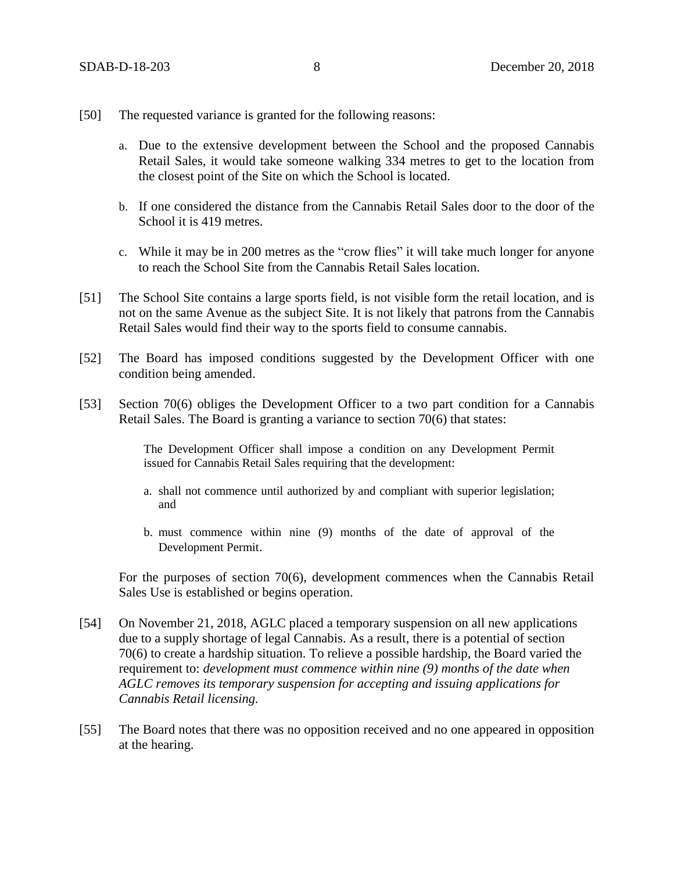- [50] The requested variance is granted for the following reasons:
	- a. Due to the extensive development between the School and the proposed Cannabis Retail Sales, it would take someone walking 334 metres to get to the location from the closest point of the Site on which the School is located.
	- b. If one considered the distance from the Cannabis Retail Sales door to the door of the School it is 419 metres.
	- c. While it may be in 200 metres as the "crow flies" it will take much longer for anyone to reach the School Site from the Cannabis Retail Sales location.
- [51] The School Site contains a large sports field, is not visible form the retail location, and is not on the same Avenue as the subject Site. It is not likely that patrons from the Cannabis Retail Sales would find their way to the sports field to consume cannabis.
- [52] The Board has imposed conditions suggested by the Development Officer with one condition being amended.
- [53] Section 70(6) obliges the Development Officer to a two part condition for a Cannabis Retail Sales. The Board is granting a variance to section 70(6) that states:

The Development Officer shall impose a condition on any Development Permit issued for Cannabis Retail Sales requiring that the development:

- a. shall not commence until authorized by and compliant with superior legislation; and
- b. must commence within nine (9) months of the date of approval of the Development Permit.

For the purposes of section 70(6), development commences when the Cannabis Retail Sales Use is established or begins operation.

- [54] On November 21, 2018, AGLC placed a temporary suspension on all new applications due to a supply shortage of legal Cannabis. As a result, there is a potential of section 70(6) to create a hardship situation. To relieve a possible hardship, the Board varied the requirement to: *development must commence within nine (9) months of the date when AGLC removes its temporary suspension for accepting and issuing applications for Cannabis Retail licensing.*
- [55] The Board notes that there was no opposition received and no one appeared in opposition at the hearing.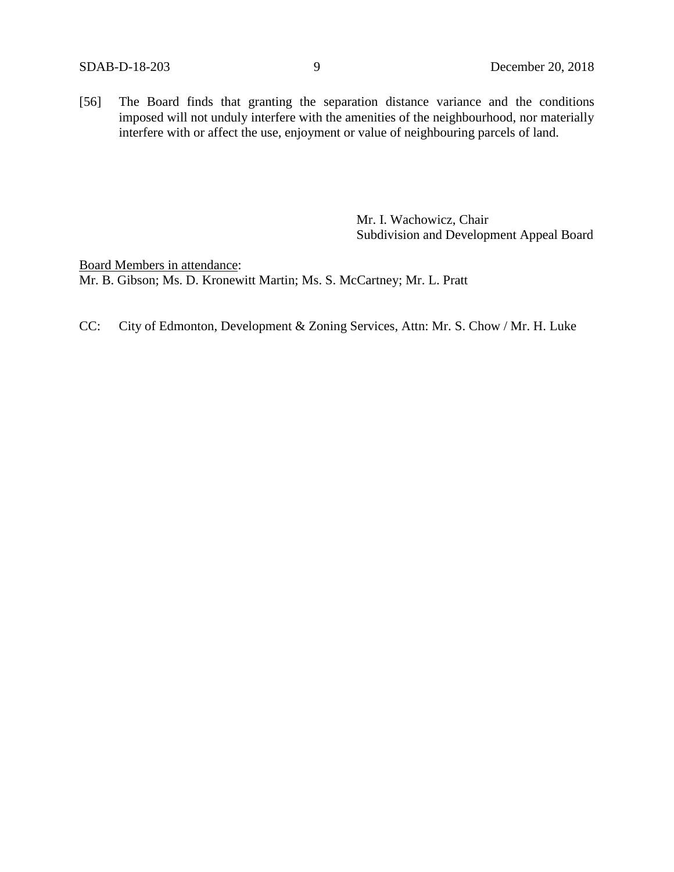[56] The Board finds that granting the separation distance variance and the conditions imposed will not unduly interfere with the amenities of the neighbourhood, nor materially interfere with or affect the use, enjoyment or value of neighbouring parcels of land.

> Mr. I. Wachowicz, Chair Subdivision and Development Appeal Board

Board Members in attendance: Mr. B. Gibson; Ms. D. Kronewitt Martin; Ms. S. McCartney; Mr. L. Pratt

CC: City of Edmonton, Development & Zoning Services, Attn: Mr. S. Chow / Mr. H. Luke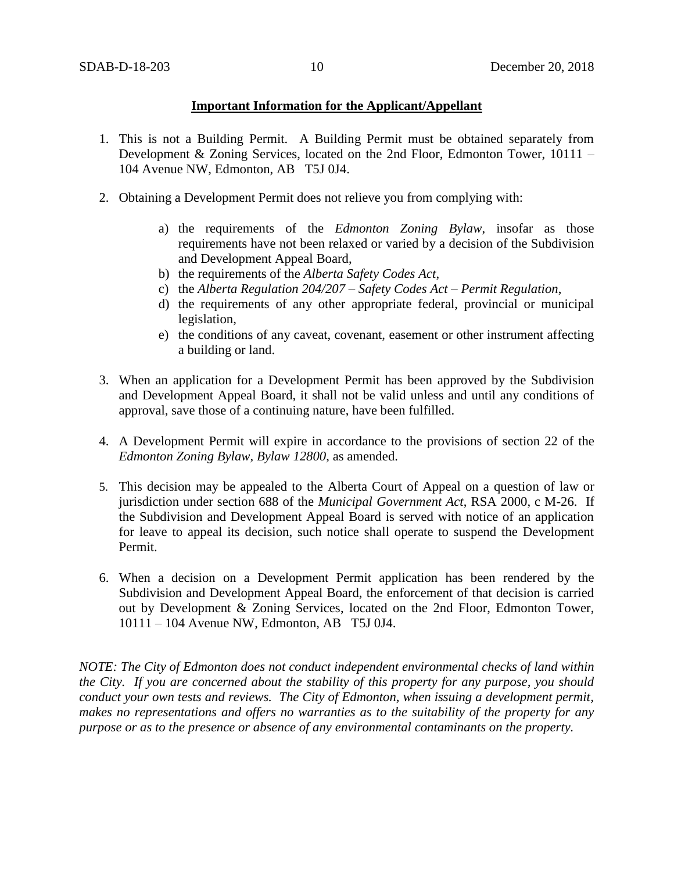### **Important Information for the Applicant/Appellant**

- 1. This is not a Building Permit. A Building Permit must be obtained separately from Development & Zoning Services, located on the 2nd Floor, Edmonton Tower, 10111 – 104 Avenue NW, Edmonton, AB T5J 0J4.
- 2. Obtaining a Development Permit does not relieve you from complying with:
	- a) the requirements of the *Edmonton Zoning Bylaw*, insofar as those requirements have not been relaxed or varied by a decision of the Subdivision and Development Appeal Board,
	- b) the requirements of the *Alberta Safety Codes Act*,
	- c) the *Alberta Regulation 204/207 – Safety Codes Act – Permit Regulation*,
	- d) the requirements of any other appropriate federal, provincial or municipal legislation,
	- e) the conditions of any caveat, covenant, easement or other instrument affecting a building or land.
- 3. When an application for a Development Permit has been approved by the Subdivision and Development Appeal Board, it shall not be valid unless and until any conditions of approval, save those of a continuing nature, have been fulfilled.
- 4. A Development Permit will expire in accordance to the provisions of section 22 of the *Edmonton Zoning Bylaw, Bylaw 12800*, as amended.
- 5. This decision may be appealed to the Alberta Court of Appeal on a question of law or jurisdiction under section 688 of the *Municipal Government Act*, RSA 2000, c M-26. If the Subdivision and Development Appeal Board is served with notice of an application for leave to appeal its decision, such notice shall operate to suspend the Development Permit.
- 6. When a decision on a Development Permit application has been rendered by the Subdivision and Development Appeal Board, the enforcement of that decision is carried out by Development & Zoning Services, located on the 2nd Floor, Edmonton Tower, 10111 – 104 Avenue NW, Edmonton, AB T5J 0J4.

*NOTE: The City of Edmonton does not conduct independent environmental checks of land within the City. If you are concerned about the stability of this property for any purpose, you should conduct your own tests and reviews. The City of Edmonton, when issuing a development permit, makes no representations and offers no warranties as to the suitability of the property for any purpose or as to the presence or absence of any environmental contaminants on the property.*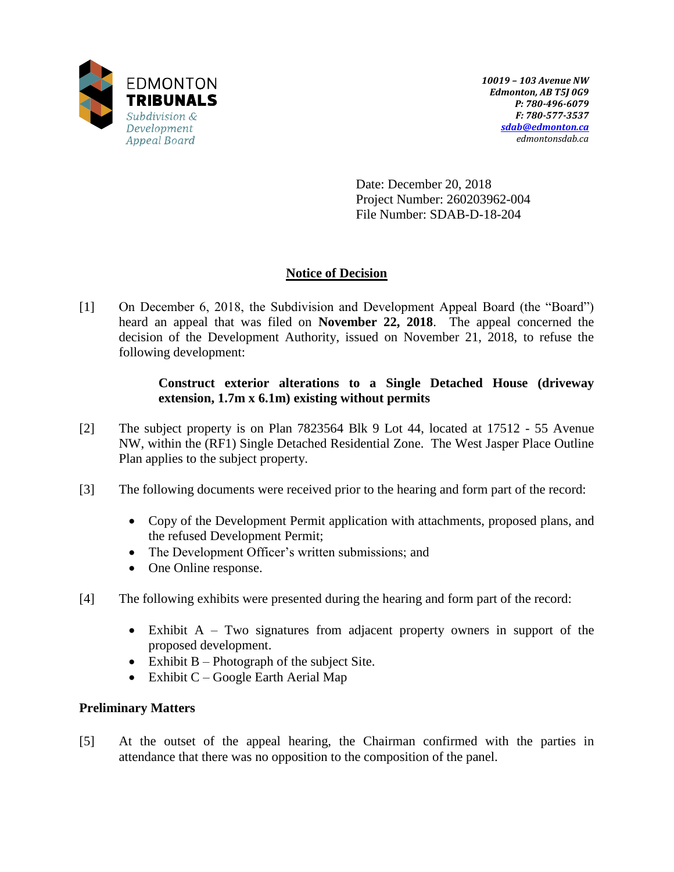

Date: December 20, 2018 Project Number: 260203962-004 File Number: SDAB-D-18-204

# **Notice of Decision**

[1] On December 6, 2018, the Subdivision and Development Appeal Board (the "Board") heard an appeal that was filed on **November 22, 2018**. The appeal concerned the decision of the Development Authority, issued on November 21, 2018, to refuse the following development:

## **Construct exterior alterations to a Single Detached House (driveway extension, 1.7m x 6.1m) existing without permits**

- [2] The subject property is on Plan 7823564 Blk 9 Lot 44, located at 17512 55 Avenue NW, within the (RF1) Single Detached Residential Zone. The West Jasper Place Outline Plan applies to the subject property.
- [3] The following documents were received prior to the hearing and form part of the record:
	- Copy of the Development Permit application with attachments, proposed plans, and the refused Development Permit;
	- The Development Officer's written submissions; and
	- One Online response.
- [4] The following exhibits were presented during the hearing and form part of the record:
	- $\bullet$  Exhibit A Two signatures from adjacent property owners in support of the proposed development.
	- Exhibit  $B -$ Photograph of the subject Site.
	- Exhibit  $C Google Earth$  Aerial Map

# **Preliminary Matters**

[5] At the outset of the appeal hearing, the Chairman confirmed with the parties in attendance that there was no opposition to the composition of the panel.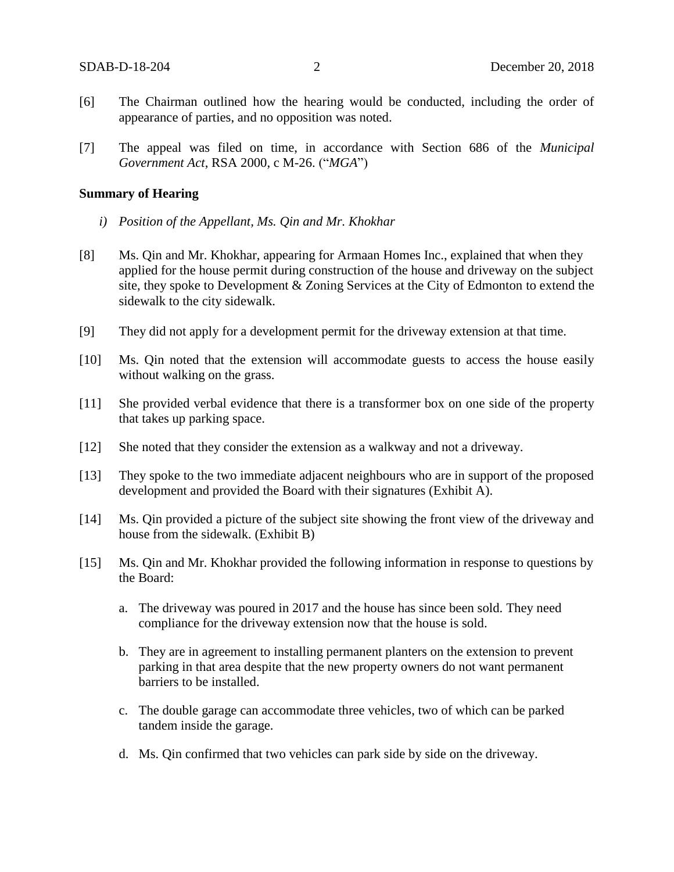- [6] The Chairman outlined how the hearing would be conducted, including the order of appearance of parties, and no opposition was noted.
- [7] The appeal was filed on time, in accordance with Section 686 of the *Municipal Government Act*, RSA 2000, c M-26. ("*MGA*")

#### **Summary of Hearing**

- *i) Position of the Appellant, Ms. Qin and Mr. Khokhar*
- [8] Ms. Qin and Mr. Khokhar, appearing for Armaan Homes Inc., explained that when they applied for the house permit during construction of the house and driveway on the subject site, they spoke to Development & Zoning Services at the City of Edmonton to extend the sidewalk to the city sidewalk.
- [9] They did not apply for a development permit for the driveway extension at that time.
- [10] Ms. Qin noted that the extension will accommodate guests to access the house easily without walking on the grass.
- [11] She provided verbal evidence that there is a transformer box on one side of the property that takes up parking space.
- [12] She noted that they consider the extension as a walkway and not a driveway.
- [13] They spoke to the two immediate adjacent neighbours who are in support of the proposed development and provided the Board with their signatures (Exhibit A).
- [14] Ms. Qin provided a picture of the subject site showing the front view of the driveway and house from the sidewalk. (Exhibit B)
- [15] Ms. Qin and Mr. Khokhar provided the following information in response to questions by the Board:
	- a. The driveway was poured in 2017 and the house has since been sold. They need compliance for the driveway extension now that the house is sold.
	- b. They are in agreement to installing permanent planters on the extension to prevent parking in that area despite that the new property owners do not want permanent barriers to be installed.
	- c. The double garage can accommodate three vehicles, two of which can be parked tandem inside the garage.
	- d. Ms. Qin confirmed that two vehicles can park side by side on the driveway.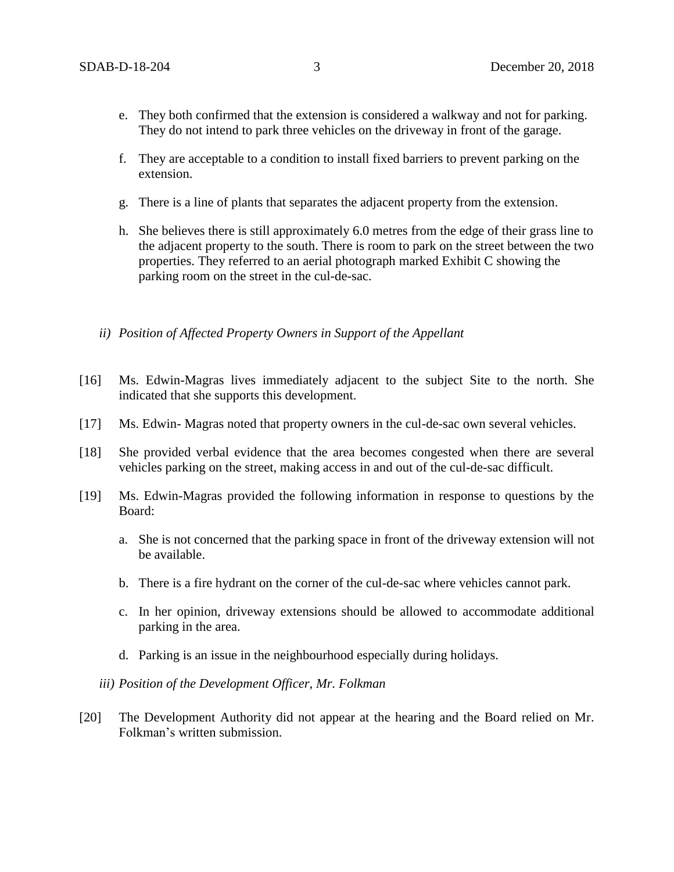- e. They both confirmed that the extension is considered a walkway and not for parking. They do not intend to park three vehicles on the driveway in front of the garage.
- f. They are acceptable to a condition to install fixed barriers to prevent parking on the extension.
- g. There is a line of plants that separates the adjacent property from the extension.
- h. She believes there is still approximately 6.0 metres from the edge of their grass line to the adjacent property to the south. There is room to park on the street between the two properties. They referred to an aerial photograph marked Exhibit C showing the parking room on the street in the cul-de-sac.
- *ii) Position of Affected Property Owners in Support of the Appellant*
- [16] Ms. Edwin-Magras lives immediately adjacent to the subject Site to the north. She indicated that she supports this development.
- [17] Ms. Edwin- Magras noted that property owners in the cul-de-sac own several vehicles.
- [18] She provided verbal evidence that the area becomes congested when there are several vehicles parking on the street, making access in and out of the cul-de-sac difficult.
- [19] Ms. Edwin-Magras provided the following information in response to questions by the Board:
	- a. She is not concerned that the parking space in front of the driveway extension will not be available.
	- b. There is a fire hydrant on the corner of the cul-de-sac where vehicles cannot park.
	- c. In her opinion, driveway extensions should be allowed to accommodate additional parking in the area.
	- d. Parking is an issue in the neighbourhood especially during holidays.
	- *iii) Position of the Development Officer, Mr. Folkman*
- [20] The Development Authority did not appear at the hearing and the Board relied on Mr. Folkman's written submission.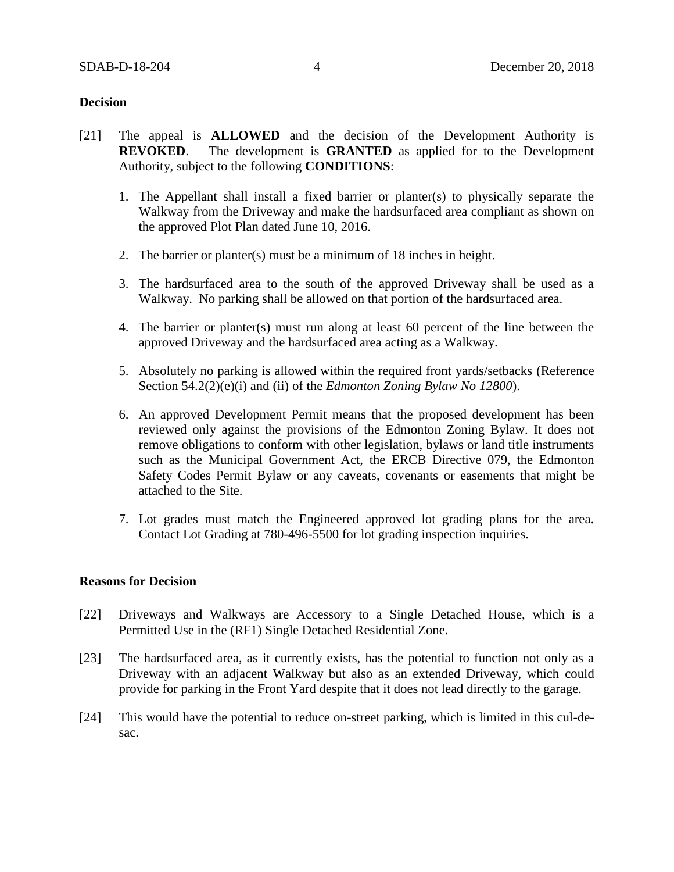### **Decision**

- [21] The appeal is **ALLOWED** and the decision of the Development Authority is **REVOKED**. The development is **GRANTED** as applied for to the Development Authority, subject to the following **CONDITIONS**:
	- 1. The Appellant shall install a fixed barrier or planter(s) to physically separate the Walkway from the Driveway and make the hardsurfaced area compliant as shown on the approved Plot Plan dated June 10, 2016.
	- 2. The barrier or planter(s) must be a minimum of 18 inches in height.
	- 3. The hardsurfaced area to the south of the approved Driveway shall be used as a Walkway. No parking shall be allowed on that portion of the hardsurfaced area.
	- 4. The barrier or planter(s) must run along at least 60 percent of the line between the approved Driveway and the hardsurfaced area acting as a Walkway.
	- 5. Absolutely no parking is allowed within the required front yards/setbacks (Reference Section 54.2(2)(e)(i) and (ii) of the *Edmonton Zoning Bylaw No 12800*).
	- 6. An approved Development Permit means that the proposed development has been reviewed only against the provisions of the Edmonton Zoning Bylaw. It does not remove obligations to conform with other legislation, bylaws or land title instruments such as the Municipal Government Act, the ERCB Directive 079, the Edmonton Safety Codes Permit Bylaw or any caveats, covenants or easements that might be attached to the Site.
	- 7. Lot grades must match the Engineered approved lot grading plans for the area. Contact Lot Grading at 780-496-5500 for lot grading inspection inquiries.

### **Reasons for Decision**

- [22] Driveways and Walkways are Accessory to a Single Detached House, which is a Permitted Use in the (RF1) Single Detached Residential Zone.
- [23] The hardsurfaced area, as it currently exists, has the potential to function not only as a Driveway with an adjacent Walkway but also as an extended Driveway, which could provide for parking in the Front Yard despite that it does not lead directly to the garage.
- [24] This would have the potential to reduce on-street parking, which is limited in this cul-desac.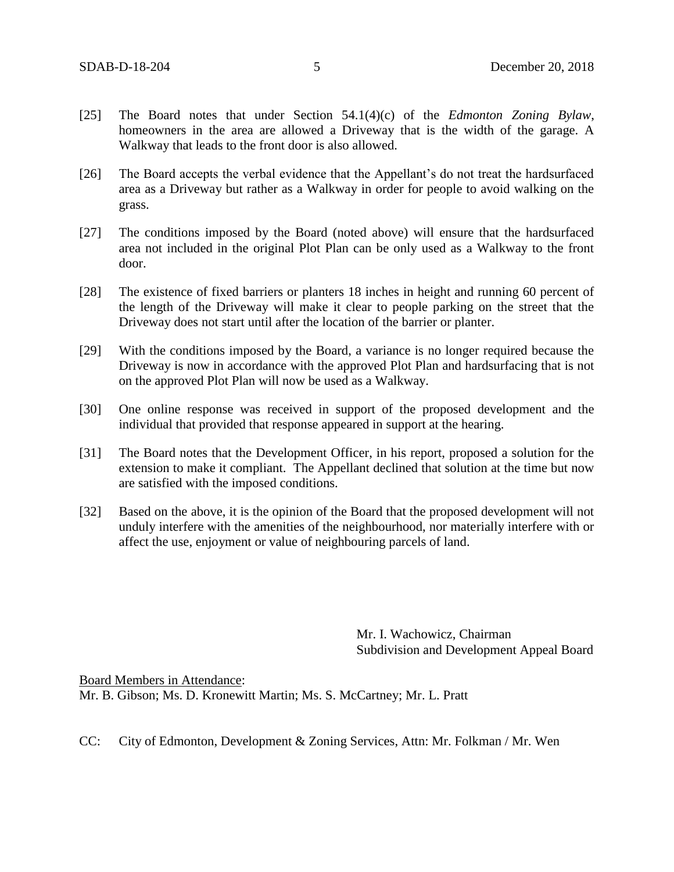- [25] The Board notes that under Section 54.1(4)(c) of the *Edmonton Zoning Bylaw*, homeowners in the area are allowed a Driveway that is the width of the garage. A Walkway that leads to the front door is also allowed.
- [26] The Board accepts the verbal evidence that the Appellant's do not treat the hardsurfaced area as a Driveway but rather as a Walkway in order for people to avoid walking on the grass.
- [27] The conditions imposed by the Board (noted above) will ensure that the hardsurfaced area not included in the original Plot Plan can be only used as a Walkway to the front door.
- [28] The existence of fixed barriers or planters 18 inches in height and running 60 percent of the length of the Driveway will make it clear to people parking on the street that the Driveway does not start until after the location of the barrier or planter.
- [29] With the conditions imposed by the Board, a variance is no longer required because the Driveway is now in accordance with the approved Plot Plan and hardsurfacing that is not on the approved Plot Plan will now be used as a Walkway.
- [30] One online response was received in support of the proposed development and the individual that provided that response appeared in support at the hearing.
- [31] The Board notes that the Development Officer, in his report, proposed a solution for the extension to make it compliant. The Appellant declined that solution at the time but now are satisfied with the imposed conditions.
- [32] Based on the above, it is the opinion of the Board that the proposed development will not unduly interfere with the amenities of the neighbourhood, nor materially interfere with or affect the use, enjoyment or value of neighbouring parcels of land.

Mr. I. Wachowicz, Chairman Subdivision and Development Appeal Board

Board Members in Attendance: Mr. B. Gibson; Ms. D. Kronewitt Martin; Ms. S. McCartney; Mr. L. Pratt

CC: City of Edmonton, Development & Zoning Services, Attn: Mr. Folkman / Mr. Wen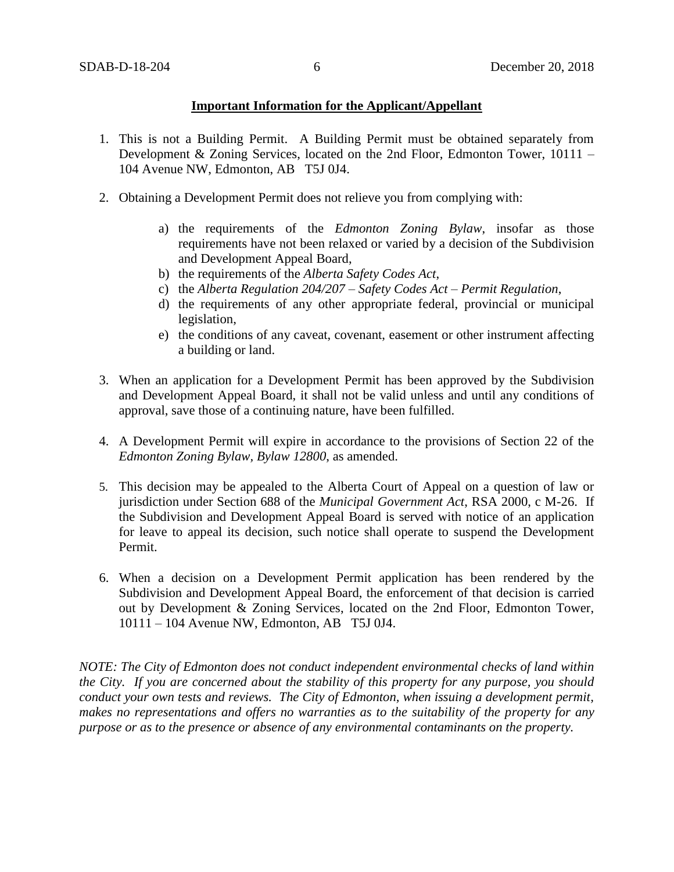### **Important Information for the Applicant/Appellant**

- 1. This is not a Building Permit. A Building Permit must be obtained separately from Development & Zoning Services, located on the 2nd Floor, Edmonton Tower, 10111 – 104 Avenue NW, Edmonton, AB T5J 0J4.
- 2. Obtaining a Development Permit does not relieve you from complying with:
	- a) the requirements of the *Edmonton Zoning Bylaw*, insofar as those requirements have not been relaxed or varied by a decision of the Subdivision and Development Appeal Board,
	- b) the requirements of the *Alberta Safety Codes Act*,
	- c) the *Alberta Regulation 204/207 – Safety Codes Act – Permit Regulation*,
	- d) the requirements of any other appropriate federal, provincial or municipal legislation,
	- e) the conditions of any caveat, covenant, easement or other instrument affecting a building or land.
- 3. When an application for a Development Permit has been approved by the Subdivision and Development Appeal Board, it shall not be valid unless and until any conditions of approval, save those of a continuing nature, have been fulfilled.
- 4. A Development Permit will expire in accordance to the provisions of Section 22 of the *Edmonton Zoning Bylaw, Bylaw 12800*, as amended.
- 5. This decision may be appealed to the Alberta Court of Appeal on a question of law or jurisdiction under Section 688 of the *Municipal Government Act*, RSA 2000, c M-26. If the Subdivision and Development Appeal Board is served with notice of an application for leave to appeal its decision, such notice shall operate to suspend the Development Permit.
- 6. When a decision on a Development Permit application has been rendered by the Subdivision and Development Appeal Board, the enforcement of that decision is carried out by Development & Zoning Services, located on the 2nd Floor, Edmonton Tower, 10111 – 104 Avenue NW, Edmonton, AB T5J 0J4.

*NOTE: The City of Edmonton does not conduct independent environmental checks of land within the City. If you are concerned about the stability of this property for any purpose, you should conduct your own tests and reviews. The City of Edmonton, when issuing a development permit, makes no representations and offers no warranties as to the suitability of the property for any purpose or as to the presence or absence of any environmental contaminants on the property.*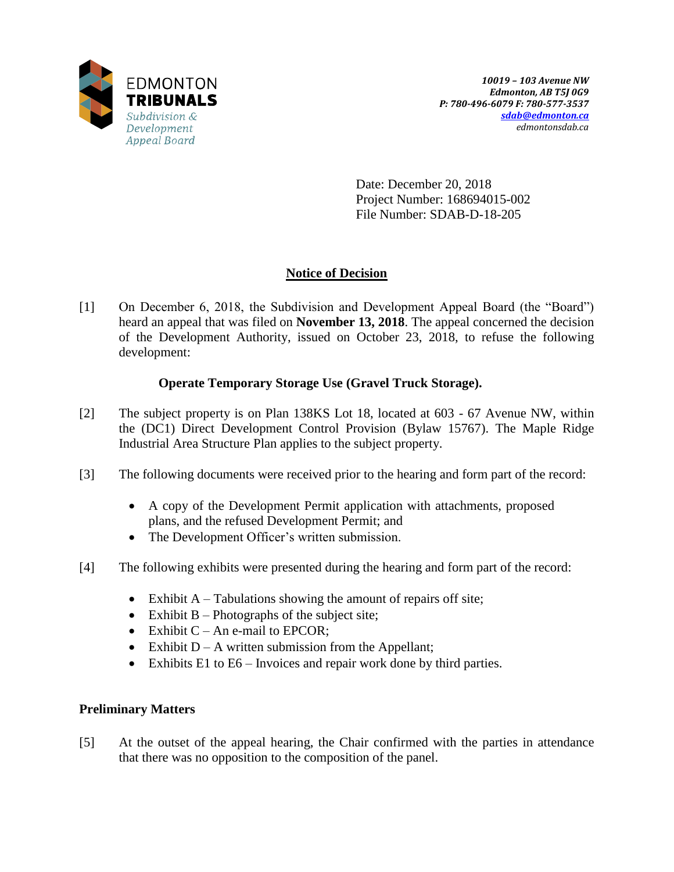

Date: December 20, 2018 Project Number: 168694015-002 File Number: SDAB-D-18-205

# **Notice of Decision**

[1] On December 6, 2018, the Subdivision and Development Appeal Board (the "Board") heard an appeal that was filed on **November 13, 2018**. The appeal concerned the decision of the Development Authority, issued on October 23, 2018, to refuse the following development:

# **Operate Temporary Storage Use (Gravel Truck Storage).**

- [2] The subject property is on Plan 138KS Lot 18, located at 603 67 Avenue NW, within the (DC1) Direct Development Control Provision (Bylaw 15767). The Maple Ridge Industrial Area Structure Plan applies to the subject property.
- [3] The following documents were received prior to the hearing and form part of the record:
	- A copy of the Development Permit application with attachments, proposed plans, and the refused Development Permit; and
	- The Development Officer's written submission.
- [4] The following exhibits were presented during the hearing and form part of the record:
	- Exhibit  $A T$ abulations showing the amount of repairs off site;
	- Exhibit  $B -$ Photographs of the subject site;
	- Exhibit  $C An$  e-mail to EPCOR;
	- Exhibit  $D A$  written submission from the Appellant;
	- Exhibits E1 to  $E6$  Invoices and repair work done by third parties.

# **Preliminary Matters**

[5] At the outset of the appeal hearing, the Chair confirmed with the parties in attendance that there was no opposition to the composition of the panel.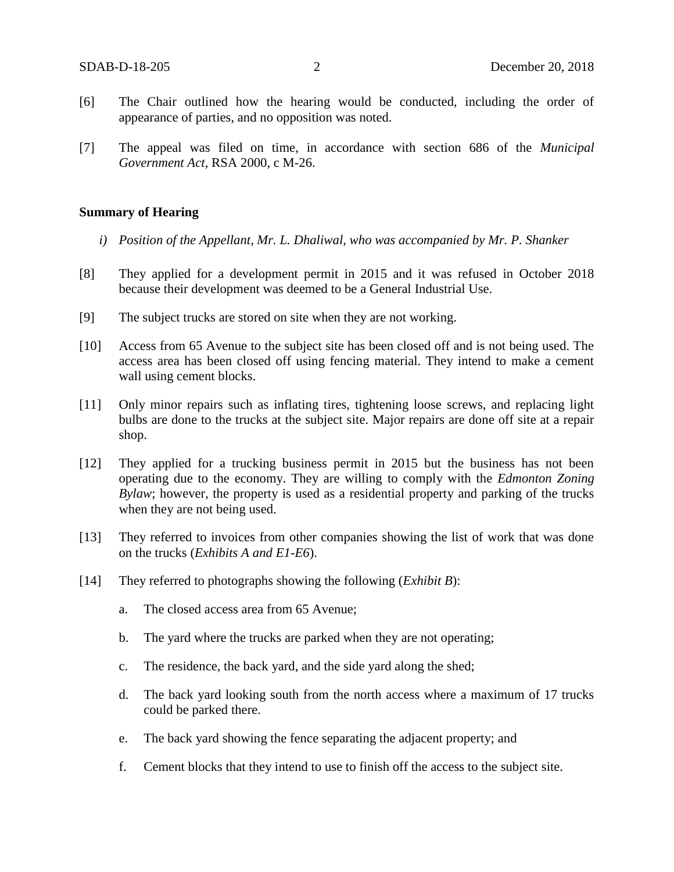- [6] The Chair outlined how the hearing would be conducted, including the order of appearance of parties, and no opposition was noted.
- [7] The appeal was filed on time, in accordance with section 686 of the *Municipal Government Act*, RSA 2000, c M-26.

#### **Summary of Hearing**

- *i) Position of the Appellant, Mr. L. Dhaliwal, who was accompanied by Mr. P. Shanker*
- [8] They applied for a development permit in 2015 and it was refused in October 2018 because their development was deemed to be a General Industrial Use.
- [9] The subject trucks are stored on site when they are not working.
- [10] Access from 65 Avenue to the subject site has been closed off and is not being used. The access area has been closed off using fencing material. They intend to make a cement wall using cement blocks.
- [11] Only minor repairs such as inflating tires, tightening loose screws, and replacing light bulbs are done to the trucks at the subject site. Major repairs are done off site at a repair shop.
- [12] They applied for a trucking business permit in 2015 but the business has not been operating due to the economy. They are willing to comply with the *Edmonton Zoning Bylaw*; however, the property is used as a residential property and parking of the trucks when they are not being used.
- [13] They referred to invoices from other companies showing the list of work that was done on the trucks (*Exhibits A and E1-E6*).
- [14] They referred to photographs showing the following (*Exhibit B*):
	- a. The closed access area from 65 Avenue;
	- b. The yard where the trucks are parked when they are not operating;
	- c. The residence, the back yard, and the side yard along the shed;
	- d. The back yard looking south from the north access where a maximum of 17 trucks could be parked there.
	- e. The back yard showing the fence separating the adjacent property; and
	- f. Cement blocks that they intend to use to finish off the access to the subject site.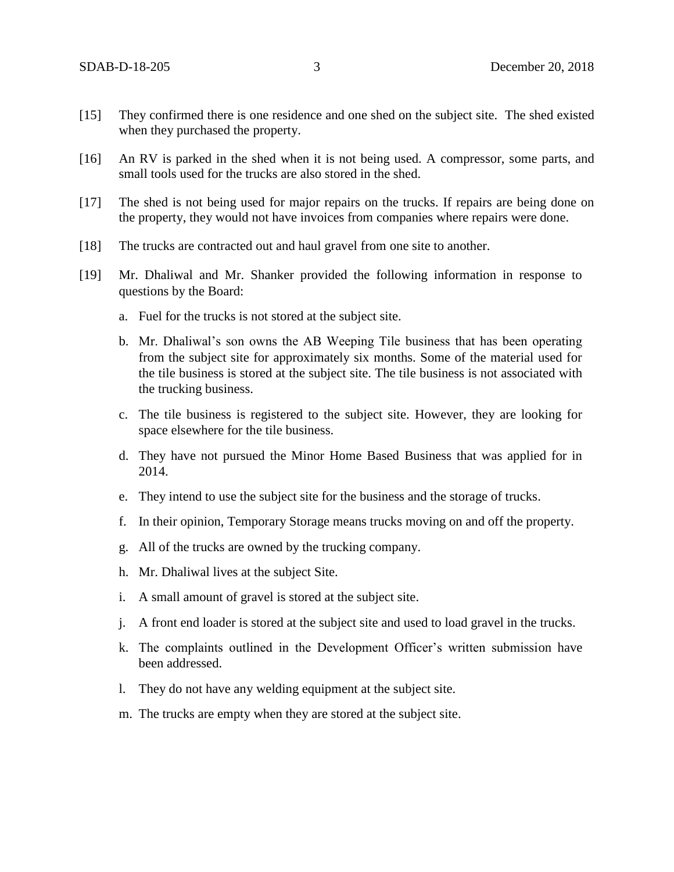- [15] They confirmed there is one residence and one shed on the subject site. The shed existed when they purchased the property.
- [16] An RV is parked in the shed when it is not being used. A compressor, some parts, and small tools used for the trucks are also stored in the shed.
- [17] The shed is not being used for major repairs on the trucks. If repairs are being done on the property, they would not have invoices from companies where repairs were done.
- [18] The trucks are contracted out and haul gravel from one site to another.
- [19] Mr. Dhaliwal and Mr. Shanker provided the following information in response to questions by the Board:
	- a. Fuel for the trucks is not stored at the subject site.
	- b. Mr. Dhaliwal's son owns the AB Weeping Tile business that has been operating from the subject site for approximately six months. Some of the material used for the tile business is stored at the subject site. The tile business is not associated with the trucking business.
	- c. The tile business is registered to the subject site. However, they are looking for space elsewhere for the tile business.
	- d. They have not pursued the Minor Home Based Business that was applied for in 2014.
	- e. They intend to use the subject site for the business and the storage of trucks.
	- f. In their opinion, Temporary Storage means trucks moving on and off the property.
	- g. All of the trucks are owned by the trucking company.
	- h. Mr. Dhaliwal lives at the subject Site.
	- i. A small amount of gravel is stored at the subject site.
	- j. A front end loader is stored at the subject site and used to load gravel in the trucks.
	- k. The complaints outlined in the Development Officer's written submission have been addressed.
	- l. They do not have any welding equipment at the subject site.
	- m. The trucks are empty when they are stored at the subject site.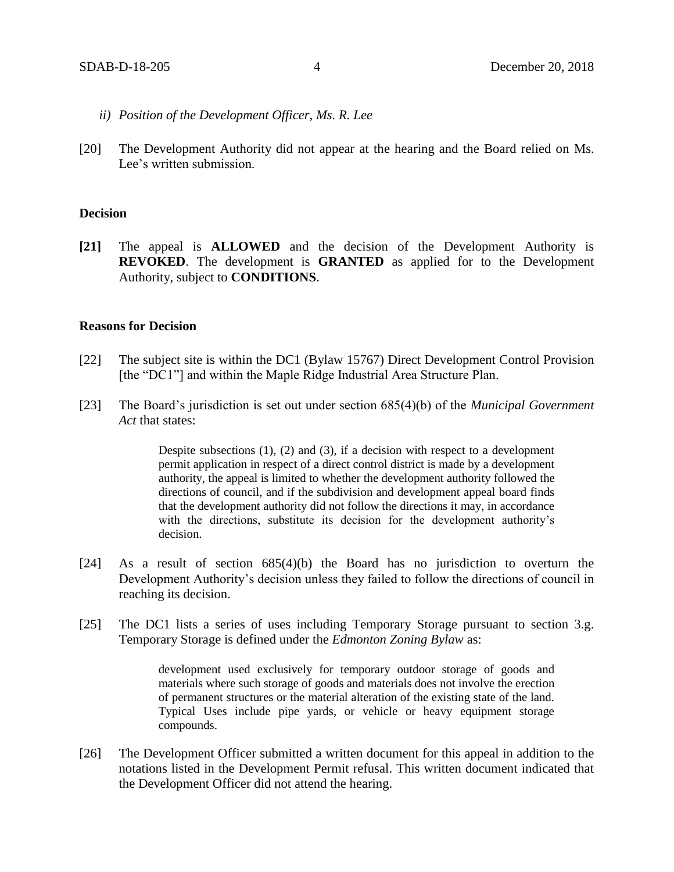- *ii) Position of the Development Officer, Ms. R. Lee*
- [20] The Development Authority did not appear at the hearing and the Board relied on Ms. Lee's written submission.

### **Decision**

**[21]** The appeal is **ALLOWED** and the decision of the Development Authority is **REVOKED**. The development is **GRANTED** as applied for to the Development Authority, subject to **CONDITIONS**.

#### **Reasons for Decision**

- [22] The subject site is within the DC1 (Bylaw 15767) Direct Development Control Provision [the "DC1"] and within the Maple Ridge Industrial Area Structure Plan.
- [23] The Board's jurisdiction is set out under section 685(4)(b) of the *Municipal Government Act* that states:

Despite subsections  $(1)$ ,  $(2)$  and  $(3)$ , if a decision with respect to a development permit application in respect of a direct control district is made by a development authority, the appeal is limited to whether the development authority followed the directions of council, and if the subdivision and development appeal board finds that the development authority did not follow the directions it may, in accordance with the directions, substitute its decision for the development authority's decision.

- [24] As a result of section 685(4)(b) the Board has no jurisdiction to overturn the Development Authority's decision unless they failed to follow the directions of council in reaching its decision.
- [25] The DC1 lists a series of uses including Temporary Storage pursuant to section 3.g. Temporary Storage is defined under the *Edmonton Zoning Bylaw* as:

development used exclusively for temporary outdoor storage of goods and materials where such storage of goods and materials does not involve the erection of permanent structures or the material alteration of the existing state of the land. Typical Uses include pipe yards, or vehicle or heavy equipment storage compounds.

[26] The Development Officer submitted a written document for this appeal in addition to the notations listed in the Development Permit refusal. This written document indicated that the Development Officer did not attend the hearing.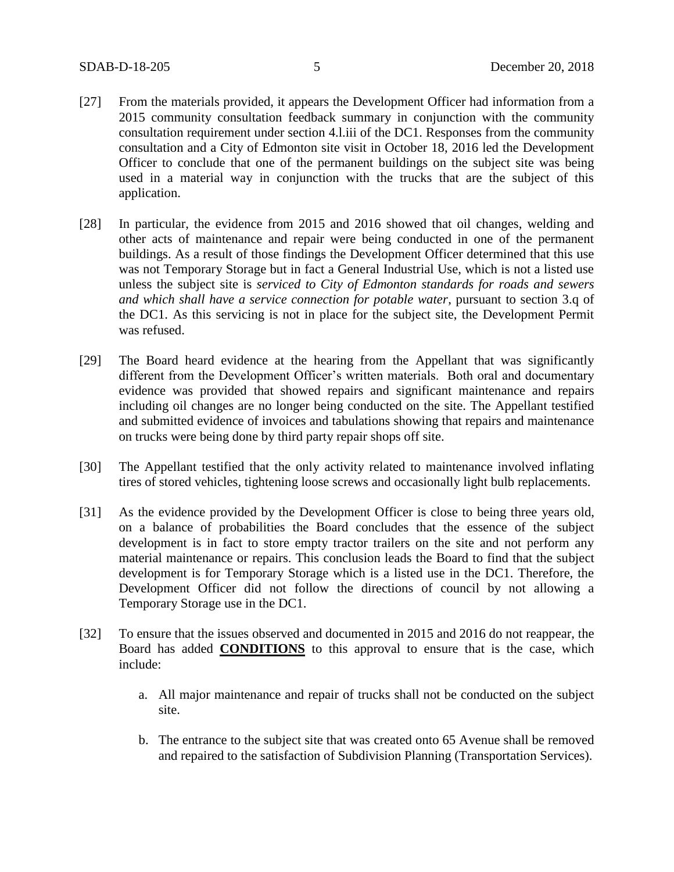- [27] From the materials provided, it appears the Development Officer had information from a 2015 community consultation feedback summary in conjunction with the community consultation requirement under section 4.l.iii of the DC1. Responses from the community consultation and a City of Edmonton site visit in October 18, 2016 led the Development Officer to conclude that one of the permanent buildings on the subject site was being used in a material way in conjunction with the trucks that are the subject of this application.
- [28] In particular, the evidence from 2015 and 2016 showed that oil changes, welding and other acts of maintenance and repair were being conducted in one of the permanent buildings. As a result of those findings the Development Officer determined that this use was not Temporary Storage but in fact a General Industrial Use, which is not a listed use unless the subject site is *serviced to City of Edmonton standards for roads and sewers and which shall have a service connection for potable water*, pursuant to section 3.q of the DC1. As this servicing is not in place for the subject site, the Development Permit was refused.
- [29] The Board heard evidence at the hearing from the Appellant that was significantly different from the Development Officer's written materials. Both oral and documentary evidence was provided that showed repairs and significant maintenance and repairs including oil changes are no longer being conducted on the site. The Appellant testified and submitted evidence of invoices and tabulations showing that repairs and maintenance on trucks were being done by third party repair shops off site.
- [30] The Appellant testified that the only activity related to maintenance involved inflating tires of stored vehicles, tightening loose screws and occasionally light bulb replacements.
- [31] As the evidence provided by the Development Officer is close to being three years old, on a balance of probabilities the Board concludes that the essence of the subject development is in fact to store empty tractor trailers on the site and not perform any material maintenance or repairs. This conclusion leads the Board to find that the subject development is for Temporary Storage which is a listed use in the DC1. Therefore, the Development Officer did not follow the directions of council by not allowing a Temporary Storage use in the DC1.
- [32] To ensure that the issues observed and documented in 2015 and 2016 do not reappear, the Board has added **CONDITIONS** to this approval to ensure that is the case, which include:
	- a. All major maintenance and repair of trucks shall not be conducted on the subject site.
	- b. The entrance to the subject site that was created onto 65 Avenue shall be removed and repaired to the satisfaction of Subdivision Planning (Transportation Services).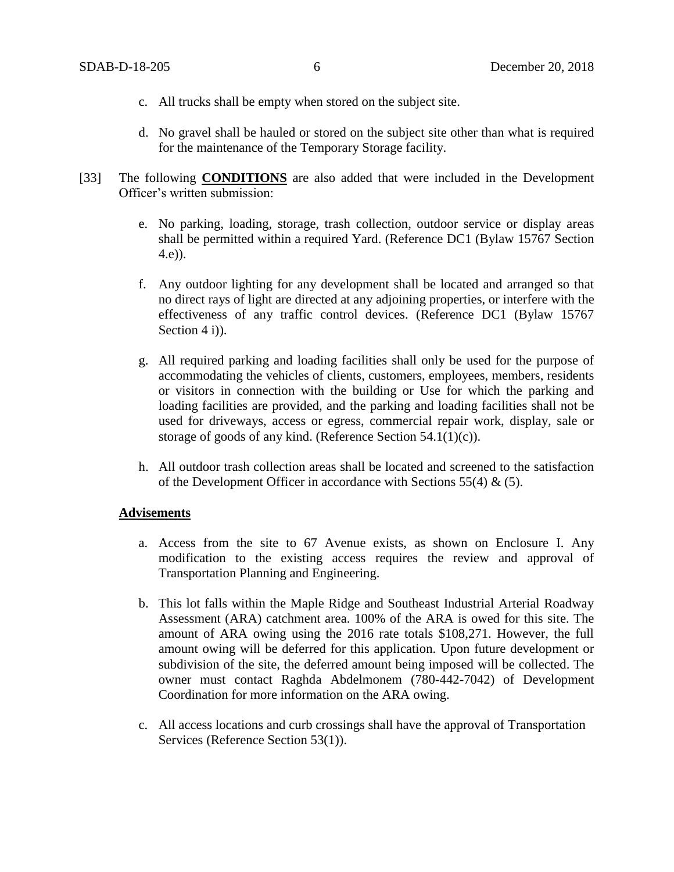- c. All trucks shall be empty when stored on the subject site.
- d. No gravel shall be hauled or stored on the subject site other than what is required for the maintenance of the Temporary Storage facility.
- [33] The following **CONDITIONS** are also added that were included in the Development Officer's written submission:
	- e. No parking, loading, storage, trash collection, outdoor service or display areas shall be permitted within a required Yard. (Reference DC1 (Bylaw 15767 Section 4.e)).
	- f. Any outdoor lighting for any development shall be located and arranged so that no direct rays of light are directed at any adjoining properties, or interfere with the effectiveness of any traffic control devices. (Reference DC1 (Bylaw 15767 Section 4 i)).
	- g. All required parking and loading facilities shall only be used for the purpose of accommodating the vehicles of clients, customers, employees, members, residents or visitors in connection with the building or Use for which the parking and loading facilities are provided, and the parking and loading facilities shall not be used for driveways, access or egress, commercial repair work, display, sale or storage of goods of any kind. (Reference Section 54.1(1)(c)).
	- h. All outdoor trash collection areas shall be located and screened to the satisfaction of the Development Officer in accordance with Sections 55(4)  $\&$  (5).

### **Advisements**

- a. Access from the site to 67 Avenue exists, as shown on Enclosure I. Any modification to the existing access requires the review and approval of Transportation Planning and Engineering.
- b. This lot falls within the Maple Ridge and Southeast Industrial Arterial Roadway Assessment (ARA) catchment area. 100% of the ARA is owed for this site. The amount of ARA owing using the 2016 rate totals \$108,271. However, the full amount owing will be deferred for this application. Upon future development or subdivision of the site, the deferred amount being imposed will be collected. The owner must contact Raghda Abdelmonem (780-442-7042) of Development Coordination for more information on the ARA owing.
- c. All access locations and curb crossings shall have the approval of Transportation Services (Reference Section 53(1)).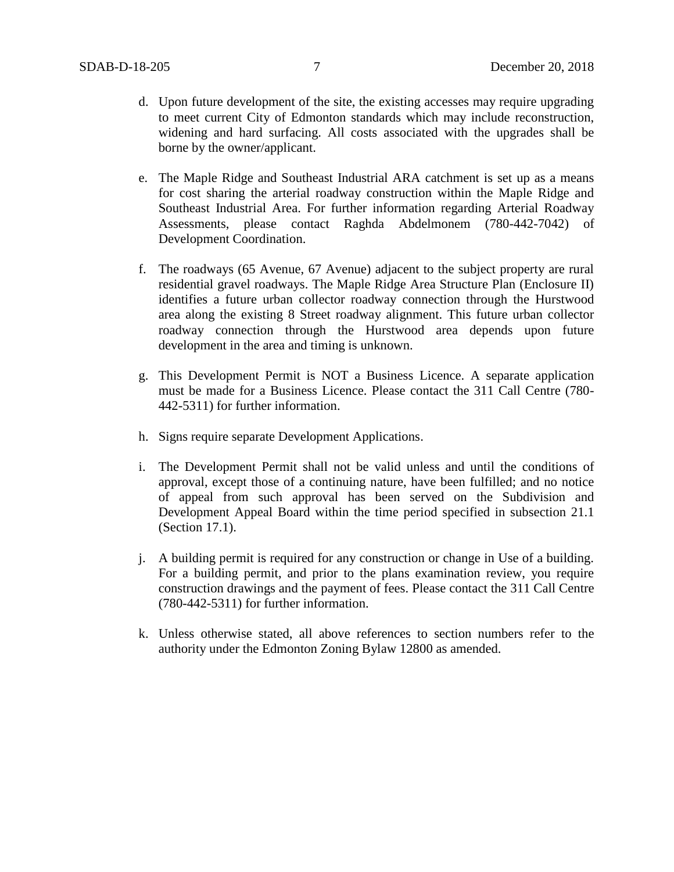- d. Upon future development of the site, the existing accesses may require upgrading to meet current City of Edmonton standards which may include reconstruction, widening and hard surfacing. All costs associated with the upgrades shall be borne by the owner/applicant.
- e. The Maple Ridge and Southeast Industrial ARA catchment is set up as a means for cost sharing the arterial roadway construction within the Maple Ridge and Southeast Industrial Area. For further information regarding Arterial Roadway Assessments, please contact Raghda Abdelmonem (780-442-7042) of Development Coordination.
- f. The roadways (65 Avenue, 67 Avenue) adjacent to the subject property are rural residential gravel roadways. The Maple Ridge Area Structure Plan (Enclosure II) identifies a future urban collector roadway connection through the Hurstwood area along the existing 8 Street roadway alignment. This future urban collector roadway connection through the Hurstwood area depends upon future development in the area and timing is unknown.
- g. This Development Permit is NOT a Business Licence. A separate application must be made for a Business Licence. Please contact the 311 Call Centre (780- 442-5311) for further information.
- h. Signs require separate Development Applications.
- i. The Development Permit shall not be valid unless and until the conditions of approval, except those of a continuing nature, have been fulfilled; and no notice of appeal from such approval has been served on the Subdivision and Development Appeal Board within the time period specified in subsection 21.1 (Section 17.1).
- j. A building permit is required for any construction or change in Use of a building. For a building permit, and prior to the plans examination review, you require construction drawings and the payment of fees. Please contact the 311 Call Centre (780-442-5311) for further information.
- k. Unless otherwise stated, all above references to section numbers refer to the authority under the Edmonton Zoning Bylaw 12800 as amended.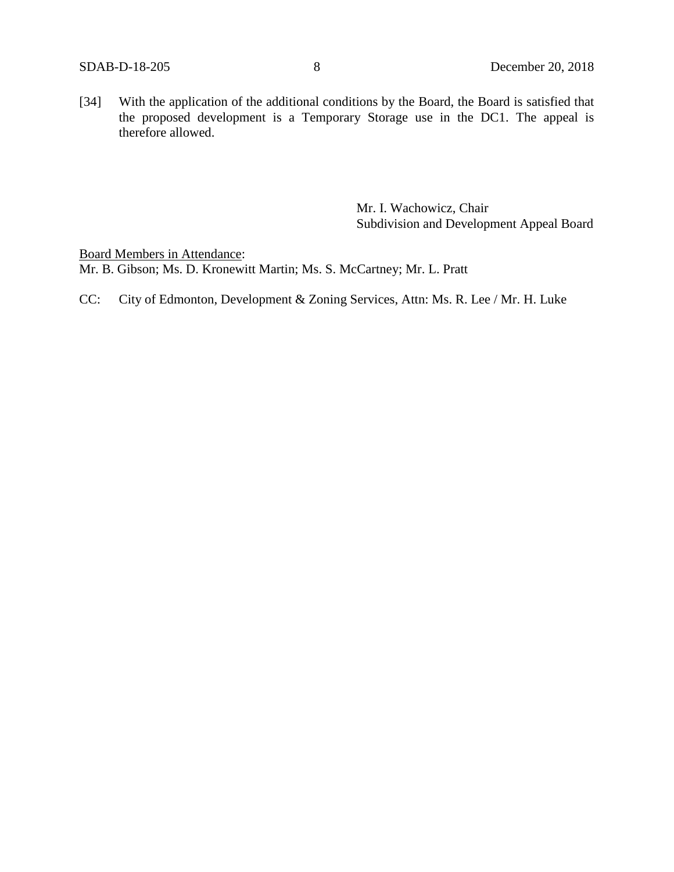[34] With the application of the additional conditions by the Board, the Board is satisfied that the proposed development is a Temporary Storage use in the DC1. The appeal is therefore allowed.

> Mr. I. Wachowicz, Chair Subdivision and Development Appeal Board

Board Members in Attendance: Mr. B. Gibson; Ms. D. Kronewitt Martin; Ms. S. McCartney; Mr. L. Pratt

CC: City of Edmonton, Development & Zoning Services, Attn: Ms. R. Lee / Mr. H. Luke